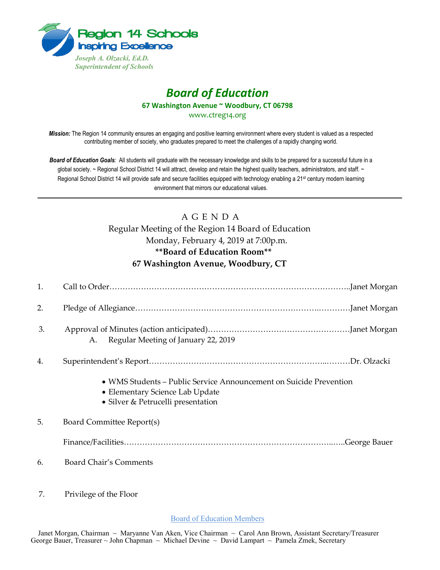

## *Board of Education* **67 Washington Avenue ~ Woodbury, CT 06798**

www.ctreg14.org

*Mission:* The Region 14 community ensures an engaging and positive learning environment where every student is valued as a respected contributing member of society, who graduates prepared to meet the challenges of a rapidly changing world.

*Board of Education Goals:* All students will graduate with the necessary knowledge and skills to be prepared for a successful future in a global society. ~ Regional School District 14 will attract, develop and retain the highest quality teachers, administrators, and staff. ~ Regional School District 14 will provide safe and secure facilities equipped with technology enabling a 21<sup>st</sup> century modern learning environment that mirrors our educational values.

## A G E N D A

Regular Meeting of the Region 14 Board of Education Monday, February 4, 2019 at 7:00p.m. **\*\*Board of Education Room\*\* 67 Washington Avenue, Woodbury, CT**

| 1. |                                                                                                                                             |
|----|---------------------------------------------------------------------------------------------------------------------------------------------|
| 2. |                                                                                                                                             |
| 3. | Regular Meeting of January 22, 2019<br>А.                                                                                                   |
| 4. |                                                                                                                                             |
|    | • WMS Students - Public Service Announcement on Suicide Prevention<br>• Elementary Science Lab Update<br>• Silver & Petrucelli presentation |
| 5. | Board Committee Report(s)                                                                                                                   |
|    |                                                                                                                                             |
| 6. | <b>Board Chair's Comments</b>                                                                                                               |
| 7. | Privilege of the Floor                                                                                                                      |

Board of Education Members